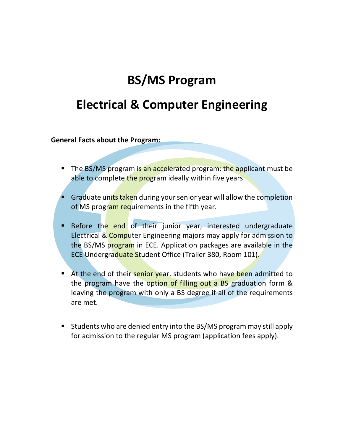# **BS/MS Program**

## **Electrical & Computer Engineering**

**General Facts about the Program:**

- The BS/MS program is an accelerated program: the applicant must be able to complete the program ideally within five years.
- § Graduate units taken during your senior year will allow the completion of MS program requirements in the fifth year.
- Before the end of their junior year, interested undergraduate Electrical & Computer Engineering majors may apply for admission to the BS/MS program in ECE. Application packages are available in the ECE Undergraduate Student Office (Trailer 380, Room 101).
- **E** At the end of their senior year, students who have been admitted to the program have the option of filling out a BS graduation form & leaving the program with only a BS degree if all of the requirements are met.
- Students who are denied entry into the BS/MS program may still apply for admission to the regular MS program (application fees apply).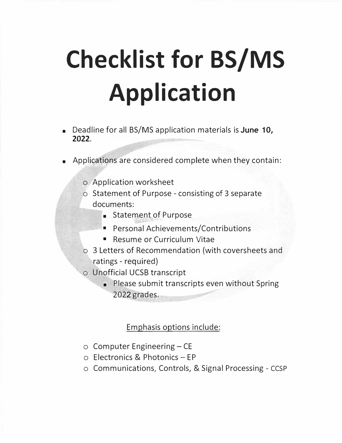# **Checklist for BS/MS Application**

- Deadline for all BS/MS application materials is **June 10, 2022.**
- Applications are considered complete when they contain:
	- o Application worksheet
	- o Statement of Purpose consisting of 3 separate documents:
		- **•** Statement of Purpose
		- ■Personal Achievements/Contributions
		- Resume or Curriculum Vitae
	- o 3 Letters of Recommendation (with coversheets and ratings - required)
	- o Unofficial UCSB transcript
		- Please submit transcripts even without Spring 2022 grades.

## Emphasis options include:

- $\circ$  Computer Engineering CE
- <sup>o</sup> Electronics & Photonics EP
- <sup>o</sup> Communications, Controls, & Signal Processing CCSP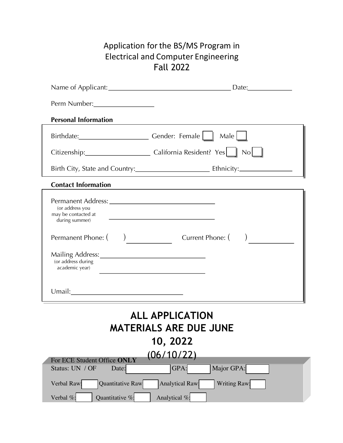## Application for the BS/MS Program in Electrical and Computer Engineering Fall 2022

| Perm Number: 1988                                                                                                             |                                                                                                  |  |  |  |
|-------------------------------------------------------------------------------------------------------------------------------|--------------------------------------------------------------------------------------------------|--|--|--|
| <b>Personal Information</b>                                                                                                   |                                                                                                  |  |  |  |
|                                                                                                                               | Birthdate: Cender: Female   Male                                                                 |  |  |  |
|                                                                                                                               | Citizenship: California Resident? Yes   No                                                       |  |  |  |
|                                                                                                                               |                                                                                                  |  |  |  |
| <b>Contact Information</b>                                                                                                    |                                                                                                  |  |  |  |
| (or address you<br>may be contacted at during summer)                                                                         |                                                                                                  |  |  |  |
| Mailing Address: 1999 Mailing Address: 1999 Mailing Address: 1999 Mail 1999 Mail 1999<br>(or address during<br>academic year) | Permanent Phone: ( ) Current Phone: ( )<br><u> 1989 - Johann Stoff, fransk politik (d. 1989)</u> |  |  |  |
|                                                                                                                               |                                                                                                  |  |  |  |
| <b>ALL APPLICATION</b><br><b>MATERIALS ARE DUE JUNE</b>                                                                       |                                                                                                  |  |  |  |
|                                                                                                                               | 10, 2022                                                                                         |  |  |  |
| For ECE Student Office ONLY                                                                                                   | (06/10/22)                                                                                       |  |  |  |
| Status: UN / OF<br>Date:                                                                                                      | GPA:<br>Major GPA:                                                                               |  |  |  |
| Quantitative Raw<br>Verbal Raw:                                                                                               | <b>Analytical Raw:</b><br>Writing Raw:                                                           |  |  |  |
| Quantitative %:<br>Verbal %:                                                                                                  | Analytical %:                                                                                    |  |  |  |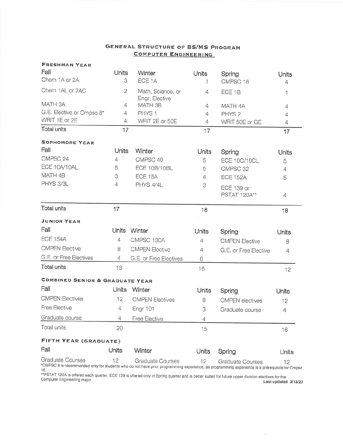## **GENERAL STRUCTURE OF BS/MS PROGRAM COMPUTER ENGINEERING**

| <b>FRESHMAN YEAR</b>                                                                                                                                                     |                |                                     |                |                         |                |
|--------------------------------------------------------------------------------------------------------------------------------------------------------------------------|----------------|-------------------------------------|----------------|-------------------------|----------------|
| Fall                                                                                                                                                                     | Units          | Winter                              | Units          | Spring                  | Units          |
| Chem 1A or 2A                                                                                                                                                            | 3              | ECE <sub>1A</sub>                   | 1              | CMPSC 16                | 4              |
| Chem 1AL or 2AC                                                                                                                                                          | $\overline{c}$ | Math, Science, or<br>Engr, Elective | $\overline{4}$ | ECE <sub>1B</sub>       | 1              |
| MATH 3A                                                                                                                                                                  | 4              | MATH 3B                             | 4              | MATH 4A                 | $\overline{4}$ |
| G.E. Elective or Cmpsc 8*                                                                                                                                                | 4              | PHYS <sub>1</sub>                   | 4              | PHYS <sub>2</sub>       | 4              |
| WRIT 1E or 2E                                                                                                                                                            | 4              | WRIT 2E or 50E                      | 4              | WRIT 50E or GE          | $\overline{4}$ |
| Total units                                                                                                                                                              | 17             |                                     | 17             |                         | 17             |
| <b>SOPHOMORE YEAR</b>                                                                                                                                                    |                |                                     |                |                         |                |
| Fall                                                                                                                                                                     | Units          | Winter                              | Units          | Spring                  | Units          |
| CMPSC 24                                                                                                                                                                 | $\overline{4}$ | CMPSC 40                            | 5              | ECE 10C/10CL            | 5              |
| ECE 10A/10AL                                                                                                                                                             | 5              | ECE 10B/10BL                        | 5              | CMPSC 32                | $\overline{4}$ |
| MATH 4B                                                                                                                                                                  | 3              | ECE 15A                             | $\overline{4}$ | <b>ECE 152A</b>         | 5              |
| PHYS 3/3L                                                                                                                                                                | 4              | PHYS 4/4L                           | 3              | <b>ECE 139 or</b>       |                |
|                                                                                                                                                                          |                |                                     |                | PSTAT 120A**            | $\overline{4}$ |
| <b>Total units</b>                                                                                                                                                       | 17             |                                     | 18             |                         | 18             |
| <b>JUNIOR YEAR</b>                                                                                                                                                       |                |                                     |                |                         |                |
| Fall                                                                                                                                                                     |                | Units Winter                        | Units          | Spring                  | Units          |
| <b>ECE 154A</b>                                                                                                                                                          | $\overline{4}$ | CMPSC 130A                          | 4              | <b>CMPEN Elective</b>   | 8              |
| <b>CMPEN Elective</b>                                                                                                                                                    | 8              | <b>CMPEN Elective</b>               | 4              | G.E. or Free Elective   | 4              |
| G.E. or Free Electives                                                                                                                                                   | 4              | G.E. or Free Electives              | 8              |                         |                |
| Total units                                                                                                                                                              | 16             |                                     | 16             |                         | 12             |
| <b>COMBINED SENIOR &amp; GRADUATE YEAR</b>                                                                                                                               |                |                                     |                |                         |                |
| Fall                                                                                                                                                                     | Units          | Winter                              | Units          | Spring                  | Units          |
| <b>CMPEN Electives</b>                                                                                                                                                   | 12             | <b>CMPEN Electives</b>              | 8              | <b>CMPEN</b> electives  | 12             |
| <b>Free Elective</b>                                                                                                                                                     | 4              | <b>Engr 101</b>                     | 3              | Graduate course         | $\overline{4}$ |
| Graduate course                                                                                                                                                          | 4              | Free Elective                       | 4              |                         |                |
| Total units                                                                                                                                                              | 20             |                                     | 15             |                         | 16             |
| FIFTH YEAR (GRADUATE)                                                                                                                                                    |                |                                     |                |                         |                |
| Fall                                                                                                                                                                     | Units          | Winter                              | Units          | Spring                  | Units          |
| Graduate Courses<br>*CMPSC 8 is recommended only for students who do not have prior programming experience, as programming experience is a prerequisite for Cmpsc<br>16. | 12             | Graduate Courses                    | 12             | <b>Graduate Courses</b> | 12             |

o.<br>\*\*PSTAT 120A is offered each quarter. ECE 139 is offered only in Spring quarter and is better suited for future upper division electives for the<br>Computer Engineering major. [13/3/20]

 $\sim$ 

 $\mathcal{Z}$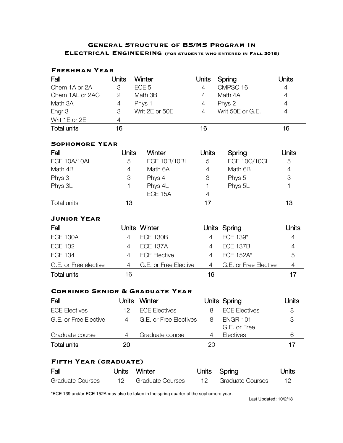## **General Structure of BS/MS Program In Electrical Engineering (for students who entered in Fall 2016)**

| <b>FRESHMAN YEAR</b>                       |                |                         |                |                           |                |
|--------------------------------------------|----------------|-------------------------|----------------|---------------------------|----------------|
| Fall                                       | Units          | Winter                  | <b>Units</b>   | Spring                    | Units          |
| Chem 1A or 2A                              | 3              | ECE <sub>5</sub>        | 4              | CMPSC 16                  | $\overline{4}$ |
| Chem 1AL or 2AC                            | $\overline{2}$ | Math 3B                 | 4              | Math 4A                   | 4              |
| Math 3A                                    | $\overline{4}$ | Phys 1                  | 4              | Phys 2                    | $\overline{4}$ |
| Engr <sub>3</sub>                          | 3              | Writ 2E or 50E          | $\overline{4}$ | Writ 50E or G.E.          | $\overline{4}$ |
| Writ 1E or 2E                              | $\overline{4}$ |                         |                |                           |                |
| <b>Total units</b>                         | 16             |                         | 16             |                           | 16             |
| <b>SOPHOMORE YEAR</b>                      |                |                         |                |                           |                |
| Fall                                       | <b>Units</b>   | Winter                  | <b>Units</b>   | Spring                    | Units          |
| ECE 10A/10AL                               | 5              | ECE 10B/10BL            | 5              | ECE 10C/10CL              | 5              |
| Math 4B                                    | 4              | Math 6A                 | 4              | Math 6B                   | 4              |
| Phys 3                                     | 3              | Phys 4                  | 3              | Phys 5                    | $\mbox{3}$     |
| Phys 3L                                    | 1              | Phys 4L                 | 1              | Phys 5L                   | 1              |
|                                            |                | ECE 15A                 | 4              |                           |                |
| Total units                                | 13             |                         | 17             |                           | 13             |
| <b>JUNIOR YEAR</b>                         |                |                         |                |                           |                |
| Fall                                       |                | Units Winter            |                | Units Spring              | Units          |
| <b>ECE 130A</b>                            | 4              | <b>ECE 130B</b>         | 4              | ECE 139*                  | 4              |
| <b>ECE 132</b>                             | 4              | <b>ECE 137A</b>         | 4              | <b>ECE 137B</b>           | 4              |
| <b>ECE 134</b>                             | 4              | <b>ECE Elective</b>     | 4              | <b>ECE 152A*</b>          | 5              |
| G.E. or Free elective                      | 4              | G.E. or Free Elective   | $\overline{4}$ | G.E. or Free Elective     | $\overline{4}$ |
| <b>Total units</b>                         | 16             |                         | 16             |                           | 17             |
| <b>COMBINED SENIOR &amp; GRADUATE YEAR</b> |                |                         |                |                           |                |
| Fall                                       | <b>Units</b>   | Winter                  |                | Units Spring              | Units          |
| <b>ECE Electives</b>                       | 12             | <b>ECE Electives</b>    | 8              | <b>ECE Electives</b>      | 8              |
| G.E. or Free Elective                      | $\overline{4}$ | G.E. or Free Electives  | 8              | <b>ENGR 101</b>           | 3              |
| Graduate course                            | 4              | Graduate course         | 4              | G.E. or Free<br>Electives | 6              |
| <b>Total units</b>                         | 20             |                         | 20             |                           | 17             |
| FIFTH YEAR (GRADUATE)                      |                |                         |                |                           |                |
| Fall                                       | Units          | Winter                  | <b>Units</b>   | Spring                    | Units          |
| <b>Graduate Courses</b>                    | 12             | <b>Graduate Courses</b> | 12             | <b>Graduate Courses</b>   | 12             |

\*ECE 139 and/or ECE 152A may also be taken in the spring quarter of the sophomore year.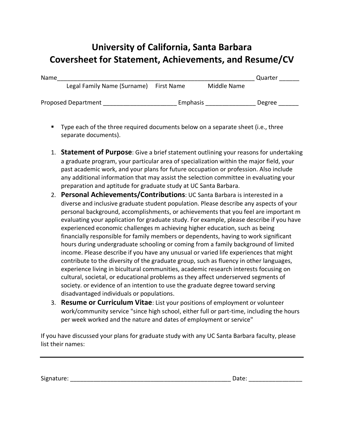## **University of California, Santa Barbara Coversheet for Statement, Achievements, and Resume/CV**

| Name |                             |            |             | Quarter |
|------|-----------------------------|------------|-------------|---------|
|      | Legal Family Name (Surname) | First Name | Middle Name |         |
|      | <b>Proposed Department</b>  | Emphasis   |             | Degree  |

- § Type each of the three required documents below on a separate sheet (i.e., three separate documents).
- 1. **Statement of Purpose**: Give a brief statement outlining your reasons for undertaking a graduate program, your particular area of specialization within the major field, your past academic work, and your plans for future occupation or profession. Also include any additional information that may assist the selection committee in evaluating your preparation and aptitude for graduate study at UC Santa Barbara.
- 2. **Personal Achievements/Contributions**: UC Santa Barbara is interested in a diverse and inclusive graduate student population. Please describe any aspects of your personal background, accomplishments, or achievements that you feel are important m evaluating your application for graduate study. For example, please describe if you have experienced economic challenges m achieving higher education, such as being financially responsible for family members or dependents, having to work significant hours during undergraduate schooling or coming from a family background of limited income. Please describe if you have any unusual or varied life experiences that might contribute to the diversity of the graduate group, such as fluency in other languages, experience living in bicultural communities, academic research interests focusing on cultural, societal, or educational problems as they affect underserved segments of society. or evidence of an intention to use the graduate degree toward serving disadvantaged individuals or populations.
- 3. **Resume or Curriculum Vitae**: List your positions of employment or volunteer work/community service "since high school, either full or part-time, including the hours per week worked and the nature and dates of employment or service"

If you have discussed your plans for graduate study with any UC Santa Barbara faculty, please list their names:

Signature: \_\_\_\_\_\_\_\_\_\_\_\_\_\_\_\_\_\_\_\_\_\_\_\_\_\_\_\_\_\_\_\_\_\_\_\_\_\_\_\_\_\_\_\_\_\_\_\_ Date: \_\_\_\_\_\_\_\_\_\_\_\_\_\_\_\_